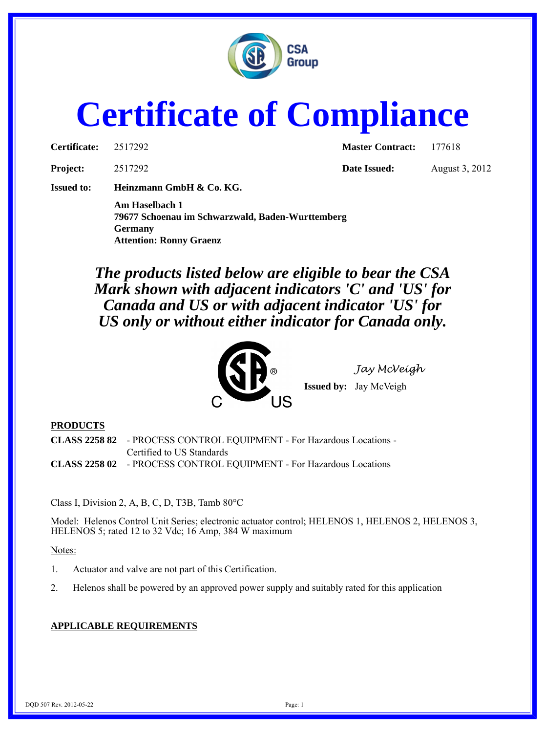

## **Certificate of Compliance**

| Certificate: | 2517292 |
|--------------|---------|
|              |         |

**Certificate:** 2517292 **Master Contract:** 177618

**Project:** 2517292 **Date Issued:** August 3, 2012

**Issued to: Heinzmann GmbH & Co. KG.**

**Am Haselbach 1 79677 Schoenau im Schwarzwald, Baden-Wurttemberg Germany Attention: Ronny Graenz**

*The products listed below are eligible to bear the CSA Mark shown with adjacent indicators 'C' and 'US' for Canada and US or with adjacent indicator 'US' for US only or without either indicator for Canada only.*



*Jay McVeigh*

**Issued by:** Jay McVeigh

## **PRODUCTS**

**CLASS 2258 82** - PROCESS CONTROL EQUIPMENT - For Hazardous Locations - Certified to US Standards **CLASS 2258 02** - PROCESS CONTROL EQUIPMENT - For Hazardous Locations

Class I, Division 2, A, B, C, D, T3B, Tamb 80°C

Model: Helenos Control Unit Series; electronic actuator control; HELENOS 1, HELENOS 2, HELENOS 3, HELENOS 5; rated 12 to 32 Vdc; 16 Amp, 384 W maximum

Notes:

- 1. Actuator and valve are not part of this Certification.
- 2. Helenos shall be powered by an approved power supply and suitably rated for this application

## **APPLICABLE REQUIREMENTS**